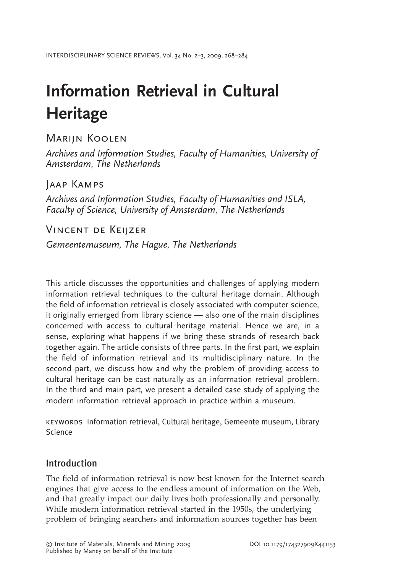# **Information Retrieval in Cultural Heritage**

# Marijn Koolen

*Archives and Information Studies, Faculty of Humanities, University of Amsterdam, The Netherlands*

# Jaap Kamps

*Archives and Information Studies, Faculty of Humanities and ISLA, Faculty of Science, University of Amsterdam, The Netherlands*

Vincent de Keijzer

*Gemeentemuseum, The Hague, The Netherlands*

This article discusses the opportunities and challenges of applying modern information retrieval techniques to the cultural heritage domain. Although the field of information retrieval is closely associated with computer science, it originally emerged from library science — also one of the main disciplines concerned with access to cultural heritage material. Hence we are, in a sense, exploring what happens if we bring these strands of research back together again. The article consists of three parts. In the first part, we explain the field of information retrieval and its multidisciplinary nature. In the second part, we discuss how and why the problem of providing access to cultural heritage can be cast naturally as an information retrieval problem. In the third and main part, we present a detailed case study of applying the modern information retrieval approach in practice within a museum.

keywords Information retrieval, Cultural heritage, Gemeente museum, Library Science

# Introduction

The field of information retrieval is now best known for the Internet search engines that give access to the endless amount of information on the Web, and that greatly impact our daily lives both professionally and personally. While modern information retrieval started in the 1950s, the underlying problem of bringing searchers and information sources together has been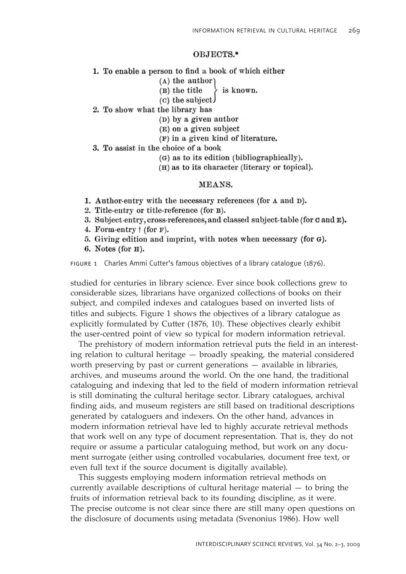#### OBJECTS.\*

- 1. To enable a person to find a book of which either
	- $(A)$  the author
	- (B) the title is known.
	- $(c)$  the subject.
- 2. To show what the library has
	- (D) by a given author
	- (E) on a given subject
	- (F) in a given kind of literature.
- 3. To assist in the choice of a book
	- (G) as to its edition (bibliographically).
	- (H) as to its character (literary or topical).

#### MEANS.

- 1. Author-entry with the necessary references (for  $\Lambda$  and  $D$ ).
- 2. Title-entry or title-reference (for B).
- 3. Subject-entry, cross-references, and classed subject-table (for C and E).
- 4. Form-entry  $\dagger$  (for F).
- 5. Giving edition and imprint, with notes when necessary (for G).
- 6. Notes (for  $H$ ).

FIGURE 1 Charles Ammi Cutter's famous objectives of a library catalogue (1876).

studied for centuries in library science. Ever since book collections grew to considerable sizes, librarians have organized collections of books on their subject, and compiled indexes and catalogues based on inverted lists of titles and subjects. Figure 1 shows the objectives of a library catalogue as explicitly formulated by Cutter (1876, 10). These objectives clearly exhibit the user-centred point of view so typical for modern information retrieval.

The prehistory of modern information retrieval puts the field in an interesting relation to cultural heritage  $-$  broadly speaking, the material considered worth preserving by past or current generations  $-$  available in libraries, archives, and museums around the world. On the one hand, the traditional cataloguing and indexing that led to the field of modern information retrieval is still dominating the cultural heritage sector. Library catalogues, archival finding aids, and museum registers are still based on traditional descriptions generated by cataloguers and indexers. On the other hand, advances in modern information retrieval have led to highly accurate retrieval methods that work well on any type of document representation. That is, they do not require or assume a particular cataloguing method, but work on any document surrogate (either using controlled vocabularies, document free text, or even full text if the source document is digitally available).

This suggests employing modern information retrieval methods on currently available descriptions of cultural heritage material  $-$  to bring the fruits of information retrieval back to its founding discipline, as it were. The precise outcome is not clear since there are still many open questions on the disclosure of documents using metadata (Svenonius 1986). How well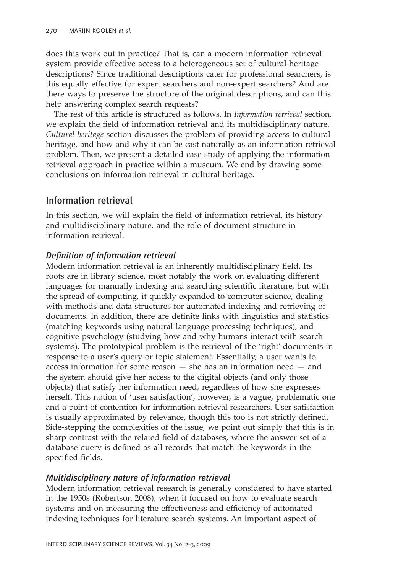does this work out in practice? That is, can a modern information retrieval system provide effective access to a heterogeneous set of cultural heritage descriptions? Since traditional descriptions cater for professional searchers, is this equally effective for expert searchers and non-expert searchers? And are there ways to preserve the structure of the original descriptions, and can this help answering complex search requests?

The rest of this article is structured as follows. In *Information retrieval* section, we explain the field of information retrieval and its multidisciplinary nature. *Cultural heritage* section discusses the problem of providing access to cultural heritage, and how and why it can be cast naturally as an information retrieval problem. Then, we present a detailed case study of applying the information retrieval approach in practice within a museum. We end by drawing some conclusions on information retrieval in cultural heritage.

# Information retrieval

In this section, we will explain the field of information retrieval, its history and multidisciplinary nature, and the role of document structure in information retrieval.

## *Defi nition of information retrieval*

Modern information retrieval is an inherently multidisciplinary field. Its roots are in library science, most notably the work on evaluating different languages for manually indexing and searching scientific literature, but with the spread of computing, it quickly expanded to computer science, dealing with methods and data structures for automated indexing and retrieving of documents. In addition, there are definite links with linguistics and statistics (matching keywords using natural language processing techniques), and cognitive psychology (studying how and why humans interact with search systems). The prototypical problem is the retrieval of the 'right' documents in response to a user's query or topic statement. Essentially, a user wants to access information for some reason  $-$  she has an information need  $-$  and the system should give her access to the digital objects (and only those objects) that satisfy her information need, regardless of how she expresses herself. This notion of 'user satisfaction', however, is a vague, problematic one and a point of contention for information retrieval researchers. User satisfaction is usually approximated by relevance, though this too is not strictly defined. Side-stepping the complexities of the issue, we point out simply that this is in sharp contrast with the related field of databases, where the answer set of a database query is defined as all records that match the keywords in the specified fields.

### *Multidisciplinary nature of information retrieval*

Modern information retrieval research is generally considered to have started in the 1950s (Robertson 2008), when it focused on how to evaluate search systems and on measuring the effectiveness and efficiency of automated indexing techniques for literature search systems. An important aspect of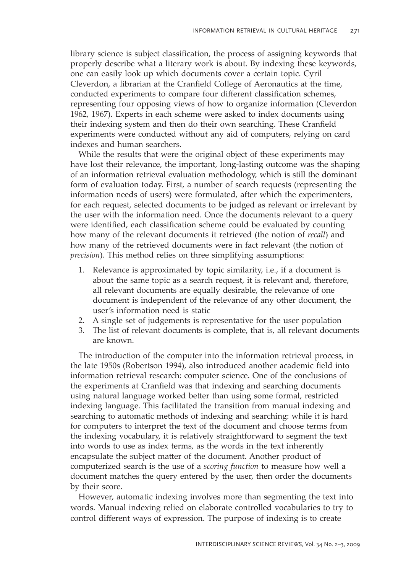library science is subject classification, the process of assigning keywords that properly describe what a literary work is about. By indexing these keywords, one can easily look up which documents cover a certain topic. Cyril Cleverdon, a librarian at the Cranfield College of Aeronautics at the time, conducted experiments to compare four different classification schemes, representing four opposing views of how to organize information (Cleverdon 1962, 1967). Experts in each scheme were asked to index documents using their indexing system and then do their own searching. These Cranfield experiments were conducted without any aid of computers, relying on card indexes and human searchers.

While the results that were the original object of these experiments may have lost their relevance, the important, long-lasting outcome was the shaping of an information retrieval evaluation methodology, which is still the dominant form of evaluation today. First, a number of search requests (representing the information needs of users) were formulated, after which the experimenters, for each request, selected documents to be judged as relevant or irrelevant by the user with the information need. Once the documents relevant to a query were identified, each classification scheme could be evaluated by counting how many of the relevant documents it retrieved (the notion of *recall*) and how many of the retrieved documents were in fact relevant (the notion of *precision*). This method relies on three simplifying assumptions:

- 1. Relevance is approximated by topic similarity, i.e., if a document is about the same topic as a search request, it is relevant and, therefore, all relevant documents are equally desirable, the relevance of one document is independent of the relevance of any other document, the user's information need is static
- 2. A single set of judgements is representative for the user population
- 3. The list of relevant documents is complete, that is, all relevant documents are known.

The introduction of the computer into the information retrieval process, in the late 1950s (Robertson 1994), also introduced another academic field into information retrieval research: computer science. One of the conclusions of the experiments at Cranfield was that indexing and searching documents using natural language worked better than using some formal, restricted indexing language. This facilitated the transition from manual indexing and searching to automatic methods of indexing and searching: while it is hard for computers to interpret the text of the document and choose terms from the indexing vocabulary, it is relatively straightforward to segment the text into words to use as index terms, as the words in the text inherently encapsulate the subject matter of the document. Another product of computerized search is the use of a *scoring function* to measure how well a document matches the query entered by the user, then order the documents by their score.

However, automatic indexing involves more than segmenting the text into words. Manual indexing relied on elaborate controlled vocabularies to try to control different ways of expression. The purpose of indexing is to create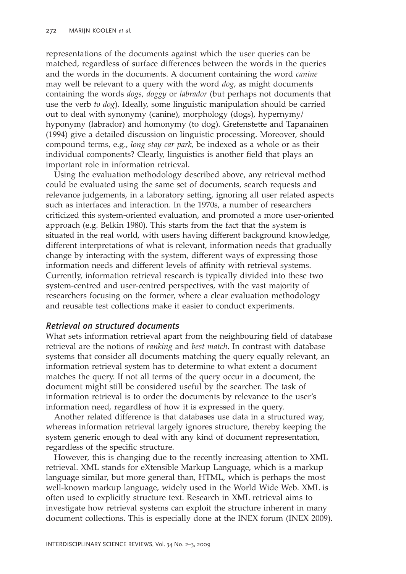representations of the documents against which the user queries can be matched, regardless of surface differences between the words in the queries and the words in the documents. A document containing the word *canine* may well be relevant to a query with the word *dog*, as might documents containing the words *dogs*, *doggy* or *labrador* (but perhaps not documents that use the verb *to dog*). Ideally, some linguistic manipulation should be carried out to deal with synonymy (canine), morphology (dogs), hypernymy/ hyponymy (labrador) and homonymy (to dog). Grefenstette and Tapanainen (1994) give a detailed discussion on linguistic processing. Moreover, should compound terms, e.g., *long stay car park*, be indexed as a whole or as their individual components? Clearly, linguistics is another field that plays an important role in information retrieval.

Using the evaluation methodology described above, any retrieval method could be evaluated using the same set of documents, search requests and relevance judgements, in a laboratory setting, ignoring all user related aspects such as interfaces and interaction. In the 1970s, a number of researchers criticized this system-oriented evaluation, and promoted a more user-oriented approach (e.g. Belkin 1980). This starts from the fact that the system is situated in the real world, with users having different background knowledge, different interpretations of what is relevant, information needs that gradually change by interacting with the system, different ways of expressing those information needs and different levels of affinity with retrieval systems. Currently, information retrieval research is typically divided into these two system-centred and user-centred perspectives, with the vast majority of researchers focusing on the former, where a clear evaluation methodology and reusable test collections make it easier to conduct experiments.

#### *Retrieval on structured documents*

What sets information retrieval apart from the neighbouring field of database retrieval are the notions of *ranking* and *best match*. In contrast with database systems that consider all documents matching the query equally relevant, an information retrieval system has to determine to what extent a document matches the query. If not all terms of the query occur in a document, the document might still be considered useful by the searcher. The task of information retrieval is to order the documents by relevance to the user's information need, regardless of how it is expressed in the query.

Another related difference is that databases use data in a structured way, whereas information retrieval largely ignores structure, thereby keeping the system generic enough to deal with any kind of document representation, regardless of the specific structure.

However, this is changing due to the recently increasing attention to XML retrieval. XML stands for eXtensible Markup Language, which is a markup language similar, but more general than, HTML, which is perhaps the most well-known markup language, widely used in the World Wide Web. XML is often used to explicitly structure text. Research in XML retrieval aims to investigate how retrieval systems can exploit the structure inherent in many document collections. This is especially done at the INEX forum (INEX 2009).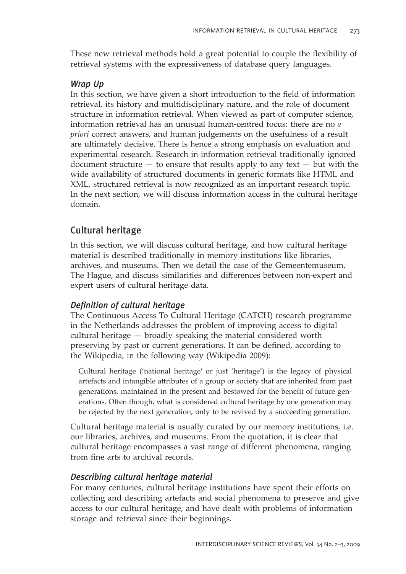These new retrieval methods hold a great potential to couple the flexibility of retrieval systems with the expressiveness of database query languages.

#### *Wrap Up*

In this section, we have given a short introduction to the field of information retrieval, its history and multidisciplinary nature, and the role of document structure in information retrieval. When viewed as part of computer science, information retrieval has an unusual human-centred focus: there are no *a priori* correct answers, and human judgements on the usefulness of a result are ultimately decisive. There is hence a strong emphasis on evaluation and experimental research. Research in information retrieval traditionally ignored document structure  $-$  to ensure that results apply to any text  $-$  but with the wide availability of structured documents in generic formats like HTML and XML, structured retrieval is now recognized as an important research topic. In the next section, we will discuss information access in the cultural heritage domain.

# Cultural heritage

In this section, we will discuss cultural heritage, and how cultural heritage material is described traditionally in memory institutions like libraries, archives, and museums. Then we detail the case of the Gemeentemuseum, The Hague, and discuss similarities and differences between non-expert and expert users of cultural heritage data.

#### *Defi nition of cultural heritage*

The Continuous Access To Cultural Heritage (CATCH) research programme in the Netherlands addresses the problem of improving access to digital cultural heritage  $-$  broadly speaking the material considered worth preserving by past or current generations. It can be defined, according to the Wikipedia, in the following way (Wikipedia 2009):

Cultural heritage ('national heritage' or just 'heritage') is the legacy of physical artefacts and intangible attributes of a group or society that are inherited from past generations, maintained in the present and bestowed for the benefit of future generations. Often though, what is considered cultural heritage by one generation may be rejected by the next generation, only to be revived by a succeeding generation.

Cultural heritage material is usually curated by our memory institutions, i.e. our libraries, archives, and museums. From the quotation, it is clear that cultural heritage encompasses a vast range of different phenomena, ranging from fine arts to archival records.

#### *Describing cultural heritage material*

For many centuries, cultural heritage institutions have spent their efforts on collecting and describing artefacts and social phenomena to preserve and give access to our cultural heritage, and have dealt with problems of information storage and retrieval since their beginnings.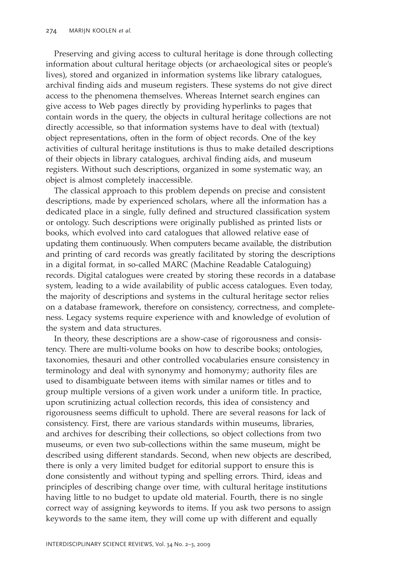Preserving and giving access to cultural heritage is done through collecting information about cultural heritage objects (or archaeological sites or peopleís lives), stored and organized in information systems like library catalogues, archival finding aids and museum registers. These systems do not give direct access to the phenomena themselves. Whereas Internet search engines can give access to Web pages directly by providing hyperlinks to pages that contain words in the query, the objects in cultural heritage collections are not directly accessible, so that information systems have to deal with (textual) object representations, often in the form of object records. One of the key activities of cultural heritage institutions is thus to make detailed descriptions of their objects in library catalogues, archival finding aids, and museum registers. Without such descriptions, organized in some systematic way, an object is almost completely inaccessible.

The classical approach to this problem depends on precise and consistent descriptions, made by experienced scholars, where all the information has a dedicated place in a single, fully defined and structured classification system or ontology. Such descriptions were originally published as printed lists or books, which evolved into card catalogues that allowed relative ease of updating them continuously. When computers became available, the distribution and printing of card records was greatly facilitated by storing the descriptions in a digital format, in so-called MARC (Machine Readable Cataloguing) records. Digital catalogues were created by storing these records in a database system, leading to a wide availability of public access catalogues. Even today, the majority of descriptions and systems in the cultural heritage sector relies on a database framework, therefore on consistency, correctness, and completeness. Legacy systems require experience with and knowledge of evolution of the system and data structures.

In theory, these descriptions are a show-case of rigorousness and consistency. There are multi-volume books on how to describe books; ontologies, taxonomies, thesauri and other controlled vocabularies ensure consistency in terminology and deal with synonymy and homonymy; authority files are used to disambiguate between items with similar names or titles and to group multiple versions of a given work under a uniform title. In practice, upon scrutinizing actual collection records, this idea of consistency and rigorousness seems difficult to uphold. There are several reasons for lack of consistency. First, there are various standards within museums, libraries, and archives for describing their collections, so object collections from two museums, or even two sub-collections within the same museum, might be described using different standards. Second, when new objects are described, there is only a very limited budget for editorial support to ensure this is done consistently and without typing and spelling errors. Third, ideas and principles of describing change over time, with cultural heritage institutions having little to no budget to update old material. Fourth, there is no single correct way of assigning keywords to items. If you ask two persons to assign keywords to the same item, they will come up with different and equally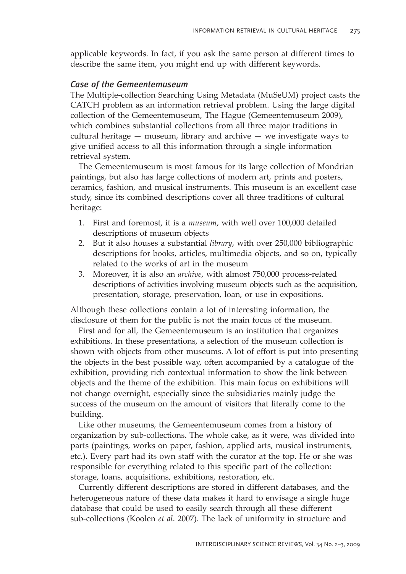applicable keywords. In fact, if you ask the same person at different times to describe the same item, you might end up with different keywords.

#### *Case of the Gemeentemuseum*

The Multiple-collection Searching Using Metadata (MuSeUM) project casts the CATCH problem as an information retrieval problem. Using the large digital collection of the Gemeentemuseum, The Hague (Gemeentemuseum 2009), which combines substantial collections from all three major traditions in cultural heritage  $-$  museum, library and archive  $-$  we investigate ways to give unified access to all this information through a single information retrieval system.

The Gemeentemuseum is most famous for its large collection of Mondrian paintings, but also has large collections of modern art, prints and posters, ceramics, fashion, and musical instruments. This museum is an excellent case study, since its combined descriptions cover all three traditions of cultural heritage:

- 1. First and foremost, it is a *museum*, with well over 100,000 detailed descriptions of museum objects
- 2. But it also houses a substantial *library*, with over 250,000 bibliographic descriptions for books, articles, multimedia objects, and so on, typically related to the works of art in the museum
- 3. Moreover, it is also an *archive*, with almost 750,000 process-related descriptions of activities involving museum objects such as the acquisition, presentation, storage, preservation, loan, or use in expositions.

Although these collections contain a lot of interesting information, the disclosure of them for the public is not the main focus of the museum.

First and for all, the Gemeentemuseum is an institution that organizes exhibitions. In these presentations, a selection of the museum collection is shown with objects from other museums. A lot of effort is put into presenting the objects in the best possible way, often accompanied by a catalogue of the exhibition, providing rich contextual information to show the link between objects and the theme of the exhibition. This main focus on exhibitions will not change overnight, especially since the subsidiaries mainly judge the success of the museum on the amount of visitors that literally come to the building.

Like other museums, the Gemeentemuseum comes from a history of organization by sub-collections. The whole cake, as it were, was divided into parts (paintings, works on paper, fashion, applied arts, musical instruments, etc.). Every part had its own staff with the curator at the top. He or she was responsible for everything related to this specific part of the collection: storage, loans, acquisitions, exhibitions, restoration, etc.

Currently different descriptions are stored in different databases, and the heterogeneous nature of these data makes it hard to envisage a single huge database that could be used to easily search through all these different sub-collections (Koolen *et al*. 2007). The lack of uniformity in structure and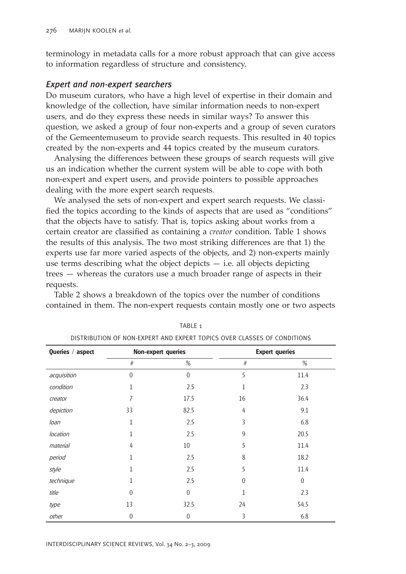terminology in metadata calls for a more robust approach that can give access to information regardless of structure and consistency.

#### *Expert and non-expert searchers*

Do museum curators, who have a high level of expertise in their domain and knowledge of the collection, have similar information needs to non-expert users, and do they express these needs in similar ways? To answer this question, we asked a group of four non-experts and a group of seven curators of the Gemeentemuseum to provide search requests. This resulted in 40 topics created by the non-experts and 44 topics created by the museum curators.

Analysing the differences between these groups of search requests will give us an indication whether the current system will be able to cope with both non-expert and expert users, and provide pointers to possible approaches dealing with the more expert search requests.

We analysed the sets of non-expert and expert search requests. We classified the topics according to the kinds of aspects that are used as "conditions" that the objects have to satisfy. That is, topics asking about works from a certain creator are classified as containing a *creator* condition. Table 1 shows the results of this analysis. The two most striking differences are that 1) the experts use far more varied aspects of the objects, and 2) non-experts mainly use terms describing what the object depicts  $-$  i.e. all objects depicting  $trees - whereas the curators use a much broader range of aspects in their$ requests.

Table 2 shows a breakdown of the topics over the number of conditions contained in them. The non-expert requests contain mostly one or two aspects

| Queries / aspect | <b>Non-expert queries</b> |              | <b>Expert queries</b> |             |
|------------------|---------------------------|--------------|-----------------------|-------------|
|                  | $\#$                      | $\%$         | $\#$                  | %           |
| acquisition      | $\theta$                  | $\theta$     | 5                     | 11.4        |
| condition        |                           | 2.5          | 1                     | 2.3         |
| creator          | 7                         | 17.5         | 16                    | 36.4        |
| depiction        | 33                        | 82.5         | 4                     | 9.1         |
| loan             | 1                         | 2.5          | 3                     | 6.8         |
| location         | 1                         | 2.5          | 9                     | 20.5        |
| material         | 4                         | 10           | 5                     | 11.4        |
| period           | 1                         | 2.5          | 8                     | 18.2        |
| style            |                           | 2.5          | 5                     | 11.4        |
| technique        |                           | 2.5          | $\theta$              | $\mathbf 0$ |
| title            | $\Omega$                  | $\theta$     | 1                     | 2.3         |
| type             | 13                        | 32.5         | 24                    | 54.5        |
| other            | $\mathbf{0}$              | $\mathbf{0}$ | 3                     | 6.8         |

TABLE<sub>1</sub> DISTRIBUTION OF NON-EXPERT AND EXPERT TOPICS OVER CLASSES OF CONDITIONS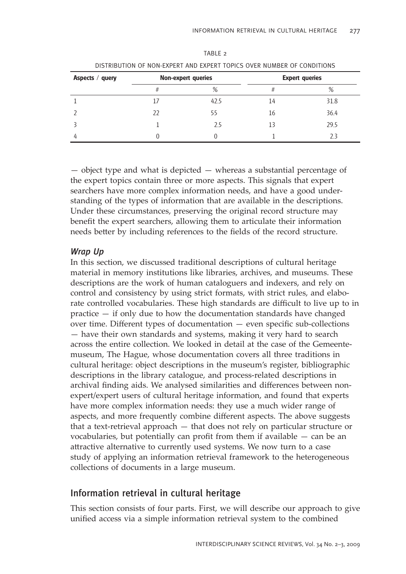| <u>DISTRIBUTION OF NON-EAPERT AND EAPERT TOPICS OVER NUMBER OF CONDITIONS</u> |                           |      |                       |      |
|-------------------------------------------------------------------------------|---------------------------|------|-----------------------|------|
| Aspects / query                                                               | <b>Non-expert queries</b> |      | <b>Expert queries</b> |      |
|                                                                               | #                         | %    |                       | %    |
|                                                                               |                           | 42.5 | 14                    | 31.8 |
|                                                                               | 22                        | 55   | 16                    | 36.4 |
|                                                                               |                           | 2.5  | 13                    | 29.5 |
|                                                                               |                           |      |                       | 23   |

| TABIF <sub>2</sub>                                                     |  |
|------------------------------------------------------------------------|--|
| DISTRIBUTION OF NON-EXPERT AND EXPERT TOPICS OVER NUMBER OF CONDITIONS |  |

 $\overline{\phantom{a}}$  object type and what is depicted  $\overline{\phantom{a}}$  whereas a substantial percentage of the expert topics contain three or more aspects. This signals that expert searchers have more complex information needs, and have a good understanding of the types of information that are available in the descriptions. Under these circumstances, preserving the original record structure may benefit the expert searchers, allowing them to articulate their information needs better by including references to the fields of the record structure.

#### *Wrap Up*

In this section, we discussed traditional descriptions of cultural heritage material in memory institutions like libraries, archives, and museums. These descriptions are the work of human cataloguers and indexers, and rely on control and consistency by using strict formats, with strict rules, and elaborate controlled vocabularies. These high standards are difficult to live up to in practice  $-$  if only due to how the documentation standards have changed over time. Different types of documentation  $-$  even specific sub-collections  $-$  have their own standards and systems, making it very hard to search across the entire collection. We looked in detail at the case of the Gemeentemuseum, The Hague, whose documentation covers all three traditions in cultural heritage: object descriptions in the museumís register, bibliographic descriptions in the library catalogue, and process-related descriptions in archival finding aids. We analysed similarities and differences between nonexpert/expert users of cultural heritage information, and found that experts have more complex information needs: they use a much wider range of aspects, and more frequently combine different aspects. The above suggests that a text-retrieval approach  $-$  that does not rely on particular structure or vocabularies, but potentially can profit from them if available  $-$  can be an attractive alternative to currently used systems. We now turn to a case study of applying an information retrieval framework to the heterogeneous collections of documents in a large museum.

# Information retrieval in cultural heritage

This section consists of four parts. First, we will describe our approach to give unified access via a simple information retrieval system to the combined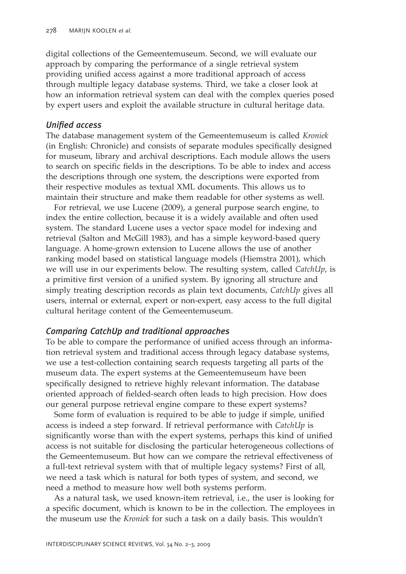digital collections of the Gemeentemuseum. Second, we will evaluate our approach by comparing the performance of a single retrieval system providing unified access against a more traditional approach of access through multiple legacy database systems. Third, we take a closer look at how an information retrieval system can deal with the complex queries posed by expert users and exploit the available structure in cultural heritage data.

#### *Unified access*

The database management system of the Gemeentemuseum is called *Kroniek* (in English: Chronicle) and consists of separate modules specifically designed for museum, library and archival descriptions. Each module allows the users to search on specific fields in the descriptions. To be able to index and access the descriptions through one system, the descriptions were exported from their respective modules as textual XML documents. This allows us to maintain their structure and make them readable for other systems as well.

For retrieval, we use Lucene (2009), a general purpose search engine, to index the entire collection, because it is a widely available and often used system. The standard Lucene uses a vector space model for indexing and retrieval (Salton and McGill 1983), and has a simple keyword-based query language. A home-grown extension to Lucene allows the use of another ranking model based on statistical language models (Hiemstra 2001), which we will use in our experiments below. The resulting system, called *CatchUp*, is a primitive first version of a unified system. By ignoring all structure and simply treating description records as plain text documents, *CatchUp* gives all users, internal or external, expert or non-expert, easy access to the full digital cultural heritage content of the Gemeentemuseum.

#### *Comparing CatchUp and traditional approaches*

To be able to compare the performance of unified access through an information retrieval system and traditional access through legacy database systems, we use a test-collection containing search requests targeting all parts of the museum data. The expert systems at the Gemeentemuseum have been specifically designed to retrieve highly relevant information. The database oriented approach of fielded-search often leads to high precision. How does our general purpose retrieval engine compare to these expert systems?

Some form of evaluation is required to be able to judge if simple, unified access is indeed a step forward. If retrieval performance with *CatchUp* is significantly worse than with the expert systems, perhaps this kind of unified access is not suitable for disclosing the particular heterogeneous collections of the Gemeentemuseum. But how can we compare the retrieval effectiveness of a full-text retrieval system with that of multiple legacy systems? First of all, we need a task which is natural for both types of system, and second, we need a method to measure how well both systems perform.

As a natural task, we used known-item retrieval, i.e., the user is looking for a specific document, which is known to be in the collection. The employees in the museum use the *Kroniek* for such a task on a daily basis. This wouldn't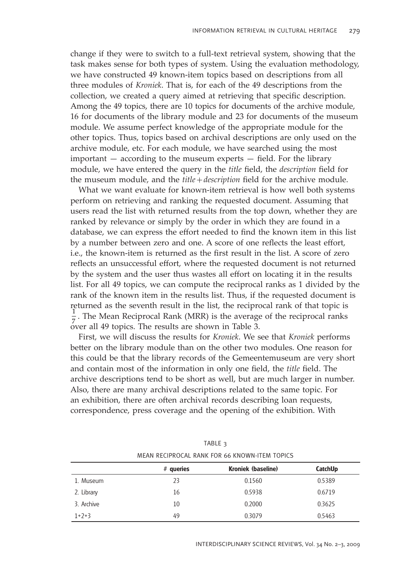change if they were to switch to a full-text retrieval system, showing that the task makes sense for both types of system. Using the evaluation methodology, we have constructed 49 known-item topics based on descriptions from all three modules of *Kroniek*. That is, for each of the 49 descriptions from the collection, we created a query aimed at retrieving that specific description. Among the 49 topics, there are 10 topics for documents of the archive module, 16 for documents of the library module and 23 for documents of the museum module. We assume perfect knowledge of the appropriate module for the other topics. Thus, topics based on archival descriptions are only used on the archive module, etc. For each module, we have searched using the most important  $-$  according to the museum experts  $-$  field. For the library module, we have entered the query in the *title* field, the *description* field for the museum module, and the *title* + *description* field for the archive module.

What we want evaluate for known-item retrieval is how well both systems perform on retrieving and ranking the requested document. Assuming that users read the list with returned results from the top down, whether they are ranked by relevance or simply by the order in which they are found in a database, we can express the effort needed to find the known item in this list by a number between zero and one. A score of one reflects the least effort, i.e., the known-item is returned as the first result in the list. A score of zero reflects an unsuccessful effort, where the requested document is not returned by the system and the user thus wastes all effort on locating it in the results list. For all 49 topics, we can compute the reciprocal ranks as 1 divided by the rank of the known item in the results list. Thus, if the requested document is returned as the seventh result in the list, the reciprocal rank of that topic is  $\frac{1}{7}$ . The Mean Reciprocal Rank (MRR) is the average of the reciprocal ranks over all 49 topics. The results are shown in Table 3.

First, we will discuss the results for *Kroniek*. We see that *Kroniek* performs better on the library module than on the other two modules. One reason for this could be that the library records of the Gemeentemuseum are very short and contain most of the information in only one field, the *title* field. The archive descriptions tend to be short as well, but are much larger in number. Also, there are many archival descriptions related to the same topic. For an exhibition, there are often archival records describing loan requests, correspondence, press coverage and the opening of the exhibition. With

|            | $#$ queries | MEAN RECIPROCAL RANK FOR 66 KNOWN-ITEM TOPICS<br>Kroniek (baseline) | CatchUp |
|------------|-------------|---------------------------------------------------------------------|---------|
| 1. Museum  | 23          | 0.1560                                                              | 0.5389  |
| 2. Library | 16          | 0.5938                                                              | 0.6719  |
| 3. Archive | 10          | 0.2000                                                              | 0.3625  |
| $1+2+3$    | 49          | 0.3079                                                              | 0.5463  |

| TABLE 3 |  |  |  |  |                                               |  |
|---------|--|--|--|--|-----------------------------------------------|--|
|         |  |  |  |  | MEAN RECIPROCAL RANK FOR 66 KNOWN-ITEM TOPICS |  |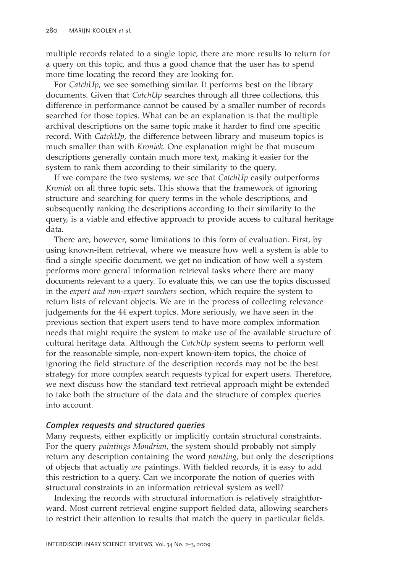multiple records related to a single topic, there are more results to return for a query on this topic, and thus a good chance that the user has to spend more time locating the record they are looking for.

For *CatchUp*, we see something similar. It performs best on the library documents. Given that *CatchUp* searches through all three collections, this difference in performance cannot be caused by a smaller number of records searched for those topics. What can be an explanation is that the multiple archival descriptions on the same topic make it harder to find one specific record. With *CatchUp*, the difference between library and museum topics is much smaller than with *Kroniek*. One explanation might be that museum descriptions generally contain much more text, making it easier for the system to rank them according to their similarity to the query.

If we compare the two systems, we see that *CatchUp* easily outperforms *Kroniek* on all three topic sets. This shows that the framework of ignoring structure and searching for query terms in the whole descriptions, and subsequently ranking the descriptions according to their similarity to the query, is a viable and effective approach to provide access to cultural heritage data.

There are, however, some limitations to this form of evaluation. First, by using known-item retrieval, where we measure how well a system is able to find a single specific document, we get no indication of how well a system performs more general information retrieval tasks where there are many documents relevant to a query. To evaluate this, we can use the topics discussed in the *expert and non-expert searchers* section, which require the system to return lists of relevant objects. We are in the process of collecting relevance judgements for the 44 expert topics. More seriously, we have seen in the previous section that expert users tend to have more complex information needs that might require the system to make use of the available structure of cultural heritage data. Although the *CatchUp* system seems to perform well for the reasonable simple, non-expert known-item topics, the choice of ignoring the field structure of the description records may not be the best strategy for more complex search requests typical for expert users. Therefore, we next discuss how the standard text retrieval approach might be extended to take both the structure of the data and the structure of complex queries into account.

### *Complex requests and structured queries*

Many requests, either explicitly or implicitly contain structural constraints. For the query *paintings Mondrian*, the system should probably not simply return any description containing the word *painting*, but only the descriptions of objects that actually *are* paintings. With fielded records, it is easy to add this restriction to a query. Can we incorporate the notion of queries with structural constraints in an information retrieval system as well?

Indexing the records with structural information is relatively straightforward. Most current retrieval engine support fielded data, allowing searchers to restrict their attention to results that match the query in particular fields.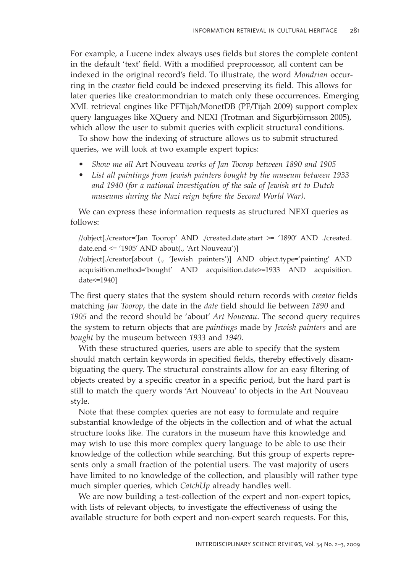For example, a Lucene index always uses fields but stores the complete content in the default 'text' field. With a modified preprocessor, all content can be indexed in the original record's field. To illustrate, the word *Mondrian* occurring in the *creator* field could be indexed preserving its field. This allows for later queries like creator:mondrian to match only these occurrences. Emerging XML retrieval engines like PFTijah/MonetDB (PF/Tijah 2009) support complex query languages like XQuery and NEXI (Trotman and Sigurbjörnsson 2005), which allow the user to submit queries with explicit structural conditions.

To show how the indexing of structure allows us to submit structured queries, we will look at two example expert topics:

- ï *Show me all* Art Nouveau *works of Jan Toorop between 1890 and 1905*
- List all paintings from Jewish painters bought by the museum between 1933 *and 1940 (for a national investigation of the sale of Jewish art to Dutch museums during the Nazi reign before the Second World War).*

We can express these information requests as structured NEXI queries as follows:

//object[./creator=ëJan Tooropí AND ./created.date.start >= ë1890í AND ./created. date.end  $\le$  '1905' AND about(., 'Art Nouveau')]

//object[./creator[about (., 'Jewish painters')] AND object.type='painting' AND acquisition.method=ëboughtí AND acquisition.date>=1933 AND acquisition. date<=1940]

The first query states that the system should return records with *creator* fields matching *Jan Toorop*, the date in the *date* field should lie between 1890 and 1905 and the record should be 'about' *Art Nouveau*. The second query requires the system to return objects that are *paintings* made by *Jewish painters* and are *bought* by the museum between *1933* and *1940*.

With these structured queries, users are able to specify that the system should match certain keywords in specified fields, thereby effectively disambiguating the query. The structural constraints allow for an easy filtering of objects created by a specific creator in a specific period, but the hard part is still to match the query words 'Art Nouveau' to objects in the Art Nouveau style.

Note that these complex queries are not easy to formulate and require substantial knowledge of the objects in the collection and of what the actual structure looks like. The curators in the museum have this knowledge and may wish to use this more complex query language to be able to use their knowledge of the collection while searching. But this group of experts represents only a small fraction of the potential users. The vast majority of users have limited to no knowledge of the collection, and plausibly will rather type much simpler queries, which *CatchUp* already handles well.

We are now building a test-collection of the expert and non-expert topics, with lists of relevant objects, to investigate the effectiveness of using the available structure for both expert and non-expert search requests. For this,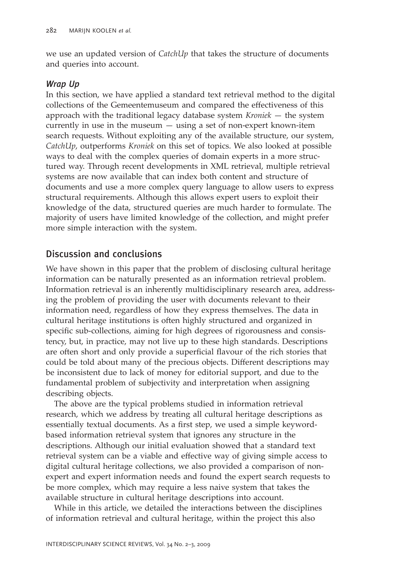we use an updated version of *CatchUp* that takes the structure of documents and queries into account.

#### *Wrap Up*

In this section, we have applied a standard text retrieval method to the digital collections of the Gemeentemuseum and compared the effectiveness of this approach with the traditional legacy database system *Kroniek* – the system currently in use in the museum  $-$  using a set of non-expert known-item search requests. Without exploiting any of the available structure, our system, *CatchUp*, outperforms *Kroniek* on this set of topics. We also looked at possible ways to deal with the complex queries of domain experts in a more structured way. Through recent developments in XML retrieval, multiple retrieval systems are now available that can index both content and structure of documents and use a more complex query language to allow users to express structural requirements. Although this allows expert users to exploit their knowledge of the data, structured queries are much harder to formulate. The majority of users have limited knowledge of the collection, and might prefer more simple interaction with the system.

# Discussion and conclusions

We have shown in this paper that the problem of disclosing cultural heritage information can be naturally presented as an information retrieval problem. Information retrieval is an inherently multidisciplinary research area, addressing the problem of providing the user with documents relevant to their information need, regardless of how they express themselves. The data in cultural heritage institutions is often highly structured and organized in specific sub-collections, aiming for high degrees of rigorousness and consistency, but, in practice, may not live up to these high standards. Descriptions are often short and only provide a superficial flavour of the rich stories that could be told about many of the precious objects. Different descriptions may be inconsistent due to lack of money for editorial support, and due to the fundamental problem of subjectivity and interpretation when assigning describing objects.

The above are the typical problems studied in information retrieval research, which we address by treating all cultural heritage descriptions as essentially textual documents. As a first step, we used a simple keywordbased information retrieval system that ignores any structure in the descriptions. Although our initial evaluation showed that a standard text retrieval system can be a viable and effective way of giving simple access to digital cultural heritage collections, we also provided a comparison of nonexpert and expert information needs and found the expert search requests to be more complex, which may require a less naive system that takes the available structure in cultural heritage descriptions into account.

While in this article, we detailed the interactions between the disciplines of information retrieval and cultural heritage, within the project this also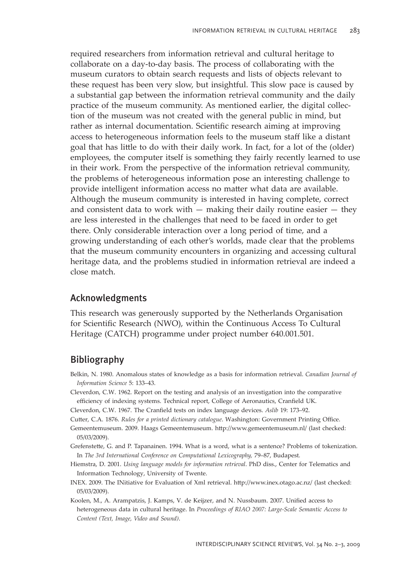required researchers from information retrieval and cultural heritage to collaborate on a day-to-day basis. The process of collaborating with the museum curators to obtain search requests and lists of objects relevant to these request has been very slow, but insightful. This slow pace is caused by a substantial gap between the information retrieval community and the daily practice of the museum community. As mentioned earlier, the digital collection of the museum was not created with the general public in mind, but rather as internal documentation. Scientific research aiming at improving access to heterogeneous information feels to the museum staff like a distant goal that has little to do with their daily work. In fact, for a lot of the (older) employees, the computer itself is something they fairly recently learned to use in their work. From the perspective of the information retrieval community, the problems of heterogeneous information pose an interesting challenge to provide intelligent information access no matter what data are available. Although the museum community is interested in having complete, correct and consistent data to work with  $-$  making their daily routine easier  $-$  they are less interested in the challenges that need to be faced in order to get there. Only considerable interaction over a long period of time, and a growing understanding of each other's worlds, made clear that the problems that the museum community encounters in organizing and accessing cultural heritage data, and the problems studied in information retrieval are indeed a close match.

#### Acknowledgments

This research was generously supported by the Netherlands Organisation for Scientific Research (NWO), within the Continuous Access To Cultural Heritage (CATCH) programme under project number 640.001.501.

# Bibliography

- Belkin, N. 1980. Anomalous states of knowledge as a basis for information retrieval. *Canadian Journal of Information Science* 5: 133-43.
- Cleverdon, C.W. 1962. Report on the testing and analysis of an investigation into the comparative efficiency of indexing systems. Technical report, College of Aeronautics, Cranfield UK.
- Cleverdon, C.W. 1967. The Cranfield tests on index language devices. Aslib 19: 173-92.
- Cutter, C.A. 1876. *Rules for a printed dictionary catalogue*. Washington: Government Printing Office.
- Gemeentemuseum. 2009. Haags Gemeentemuseum. http://www.gemeentemuseum.nl/ (last checked: 05/03/2009).
- Grefenstette, G. and P. Tapanainen. 1994. What is a word, what is a sentence? Problems of tokenization. In *The 3rd International Conference on Computational Lexicography, 79-87, Budapest.*
- Hiemstra, D. 2001. *Using language models for information retrieval*. PhD diss., Center for Telematics and Information Technology, University of Twente.
- INEX. 2009. The INitiative for Evaluation of Xml retrieval. http://www.inex.otago.ac.nz/ (last checked: 05/03/2009).
- Koolen, M., A. Arampatzis, J. Kamps, V. de Keijzer, and N. Nussbaum. 2007. Unified access to heterogeneous data in cultural heritage. In *Proceedings of RIAO 2007: Large-Scale Semantic Access to Content (Text, Image, Video and Sound)*.